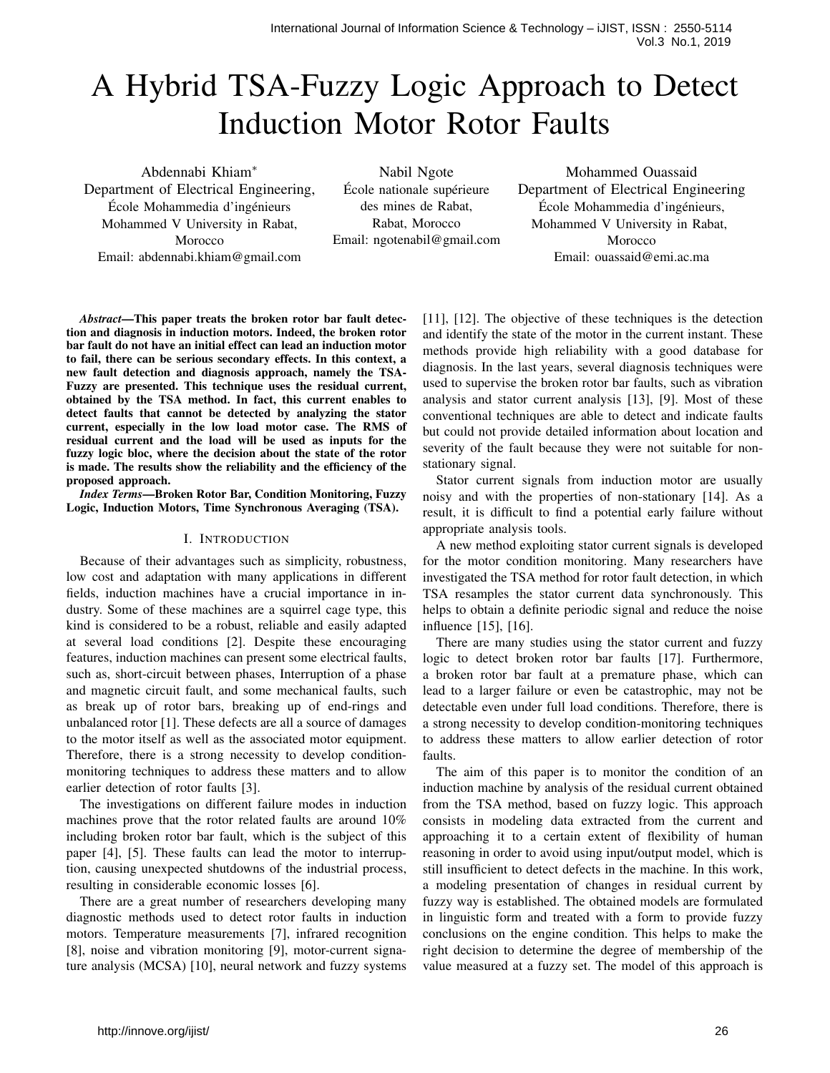# A Hybrid TSA-Fuzzy Logic Approach to Detect Induction Motor Rotor Faults

Abdennabi Khiam<sup>∗</sup> Department of Electrical Engineering, École Mohammedia d'ingénieurs Mohammed V University in Rabat, Morocco Email: abdennabi.khiam@gmail.com

Nabil Ngote École nationale supérieure des mines de Rabat, Rabat, Morocco Email: ngotenabil@gmail.com

Mohammed Ouassaid Department of Electrical Engineering École Mohammedia d'ingénieurs, Mohammed V University in Rabat, Morocco Email: ouassaid@emi.ac.ma

*Abstract*—This paper treats the broken rotor bar fault detection and diagnosis in induction motors. Indeed, the broken rotor bar fault do not have an initial effect can lead an induction motor to fail, there can be serious secondary effects. In this context, a new fault detection and diagnosis approach, namely the TSA-Fuzzy are presented. This technique uses the residual current, obtained by the TSA method. In fact, this current enables to detect faults that cannot be detected by analyzing the stator current, especially in the low load motor case. The RMS of residual current and the load will be used as inputs for the fuzzy logic bloc, where the decision about the state of the rotor is made. The results show the reliability and the efficiency of the proposed approach.

*Index Terms*—Broken Rotor Bar, Condition Monitoring, Fuzzy Logic, Induction Motors, Time Synchronous Averaging (TSA).

## I. INTRODUCTION

Because of their advantages such as simplicity, robustness, low cost and adaptation with many applications in different fields, induction machines have a crucial importance in industry. Some of these machines are a squirrel cage type, this kind is considered to be a robust, reliable and easily adapted at several load conditions [2]. Despite these encouraging features, induction machines can present some electrical faults, such as, short-circuit between phases, Interruption of a phase and magnetic circuit fault, and some mechanical faults, such as break up of rotor bars, breaking up of end-rings and unbalanced rotor [1]. These defects are all a source of damages to the motor itself as well as the associated motor equipment. Therefore, there is a strong necessity to develop conditionmonitoring techniques to address these matters and to allow earlier detection of rotor faults [3].

The investigations on different failure modes in induction machines prove that the rotor related faults are around 10% including broken rotor bar fault, which is the subject of this paper [4], [5]. These faults can lead the motor to interruption, causing unexpected shutdowns of the industrial process, resulting in considerable economic losses [6].

There are a great number of researchers developing many diagnostic methods used to detect rotor faults in induction motors. Temperature measurements [7], infrared recognition [8], noise and vibration monitoring [9], motor-current signature analysis (MCSA) [10], neural network and fuzzy systems [11], [12]. The objective of these techniques is the detection and identify the state of the motor in the current instant. These methods provide high reliability with a good database for diagnosis. In the last years, several diagnosis techniques were used to supervise the broken rotor bar faults, such as vibration analysis and stator current analysis [13], [9]. Most of these conventional techniques are able to detect and indicate faults but could not provide detailed information about location and severity of the fault because they were not suitable for nonstationary signal.

Stator current signals from induction motor are usually noisy and with the properties of non-stationary [14]. As a result, it is difficult to find a potential early failure without appropriate analysis tools.

A new method exploiting stator current signals is developed for the motor condition monitoring. Many researchers have investigated the TSA method for rotor fault detection, in which TSA resamples the stator current data synchronously. This helps to obtain a definite periodic signal and reduce the noise influence [15], [16].

There are many studies using the stator current and fuzzy logic to detect broken rotor bar faults [17]. Furthermore, a broken rotor bar fault at a premature phase, which can lead to a larger failure or even be catastrophic, may not be detectable even under full load conditions. Therefore, there is a strong necessity to develop condition-monitoring techniques to address these matters to allow earlier detection of rotor faults.

The aim of this paper is to monitor the condition of an induction machine by analysis of the residual current obtained from the TSA method, based on fuzzy logic. This approach consists in modeling data extracted from the current and approaching it to a certain extent of flexibility of human reasoning in order to avoid using input/output model, which is still insufficient to detect defects in the machine. In this work, a modeling presentation of changes in residual current by fuzzy way is established. The obtained models are formulated in linguistic form and treated with a form to provide fuzzy conclusions on the engine condition. This helps to make the right decision to determine the degree of membership of the value measured at a fuzzy set. The model of this approach is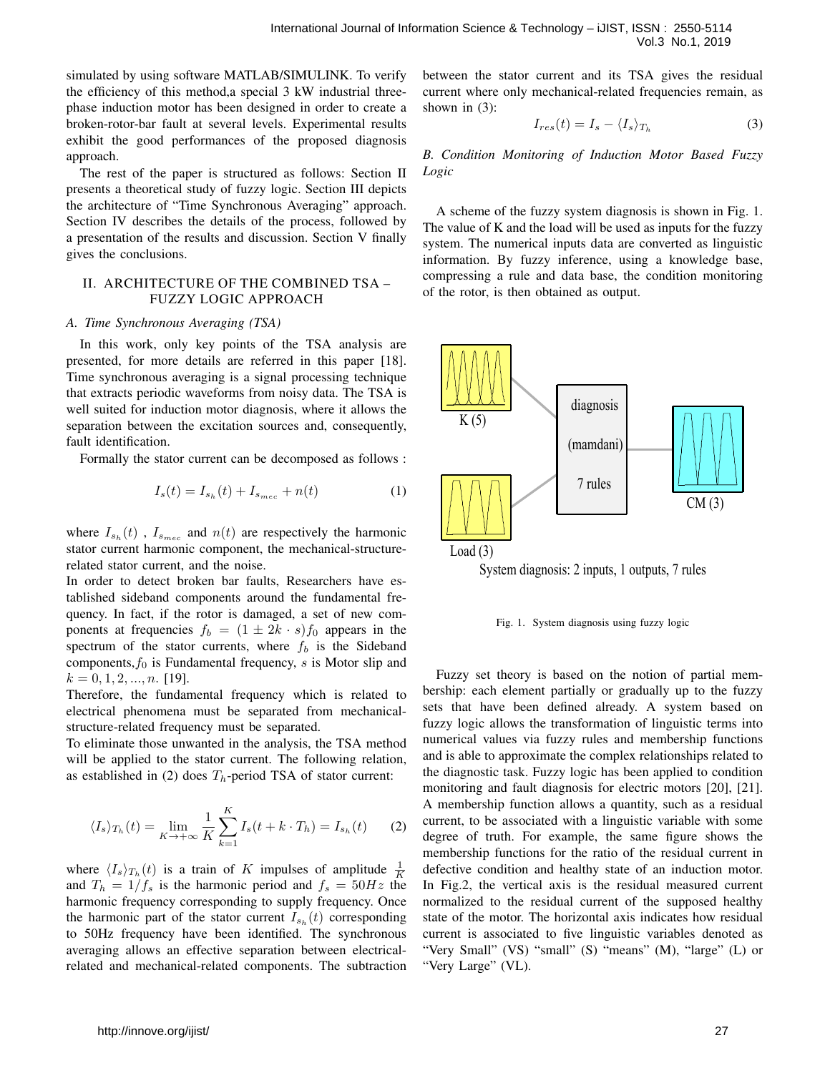simulated by using software MATLAB/SIMULINK. To verify the efficiency of this method,a special 3 kW industrial threephase induction motor has been designed in order to create a broken-rotor-bar fault at several levels. Experimental results exhibit the good performances of the proposed diagnosis approach.

The rest of the paper is structured as follows: Section II presents a theoretical study of fuzzy logic. Section III depicts the architecture of "Time Synchronous Averaging" approach. Section IV describes the details of the process, followed by a presentation of the results and discussion. Section V finally gives the conclusions.

# II. ARCHITECTURE OF THE COMBINED TSA – FUZZY LOGIC APPROACH

# *A. Time Synchronous Averaging (TSA)*

In this work, only key points of the TSA analysis are presented, for more details are referred in this paper [18]. Time synchronous averaging is a signal processing technique that extracts periodic waveforms from noisy data. The TSA is well suited for induction motor diagnosis, where it allows the separation between the excitation sources and, consequently, fault identification.

Formally the stator current can be decomposed as follows :

$$
I_s(t) = I_{s_h}(t) + I_{s_{mec}} + n(t)
$$
 (1)

where  $I_{s_h}(t)$ ,  $I_{s_{mec}}$  and  $n(t)$  are respectively the harmonic stator current harmonic component, the mechanical-structurerelated stator current, and the noise.

In order to detect broken bar faults, Researchers have established sideband components around the fundamental frequency. In fact, if the rotor is damaged, a set of new components at frequencies  $f_b = (1 \pm 2k \cdot s)f_0$  appears in the spectrum of the stator currents, where  $f_b$  is the Sideband components, $f_0$  is Fundamental frequency,  $s$  is Motor slip and  $k = 0, 1, 2, ..., n$ . [19].

Therefore, the fundamental frequency which is related to electrical phenomena must be separated from mechanicalstructure-related frequency must be separated.

To eliminate those unwanted in the analysis, the TSA method will be applied to the stator current. The following relation, as established in (2) does  $T_h$ -period TSA of stator current:

$$
\langle I_s \rangle_{T_h}(t) = \lim_{K \to +\infty} \frac{1}{K} \sum_{k=1}^K I_s(t + k \cdot T_h) = I_{s_h}(t) \tag{2}
$$

where  $\langle I_s \rangle_{T_h}(t)$  is a train of K impulses of amplitude  $\frac{1}{K}$ and  $T_h = 1/f_s$  is the harmonic period and  $f_s = 50Hz$  the harmonic frequency corresponding to supply frequency. Once the harmonic part of the stator current  $I_{s_h}(t)$  corresponding to 50Hz frequency have been identified. The synchronous averaging allows an effective separation between electricalrelated and mechanical-related components. The subtraction between the stator current and its TSA gives the residual current where only mechanical-related frequencies remain, as shown in (3):

$$
I_{res}(t) = I_s - \langle I_s \rangle_{T_h} \tag{3}
$$

*B. Condition Monitoring of Induction Motor Based Fuzzy Logic*

A scheme of the fuzzy system diagnosis is shown in Fig. 1. The value of K and the load will be used as inputs for the fuzzy system. The numerical inputs data are converted as linguistic information. By fuzzy inference, using a knowledge base, compressing a rule and data base, the condition monitoring of the rotor, is then obtained as output.



System diagnosis: 2 inputs, 1 outputs, 7 rules

Fig. 1. System diagnosis using fuzzy logic

Fuzzy set theory is based on the notion of partial membership: each element partially or gradually up to the fuzzy sets that have been defined already. A system based on fuzzy logic allows the transformation of linguistic terms into numerical values via fuzzy rules and membership functions and is able to approximate the complex relationships related to the diagnostic task. Fuzzy logic has been applied to condition monitoring and fault diagnosis for electric motors [20], [21]. A membership function allows a quantity, such as a residual current, to be associated with a linguistic variable with some degree of truth. For example, the same figure shows the membership functions for the ratio of the residual current in defective condition and healthy state of an induction motor. In Fig.2, the vertical axis is the residual measured current normalized to the residual current of the supposed healthy state of the motor. The horizontal axis indicates how residual current is associated to five linguistic variables denoted as "Very Small" (VS) "small" (S) "means" (M), "large" (L) or "Very Large" (VL).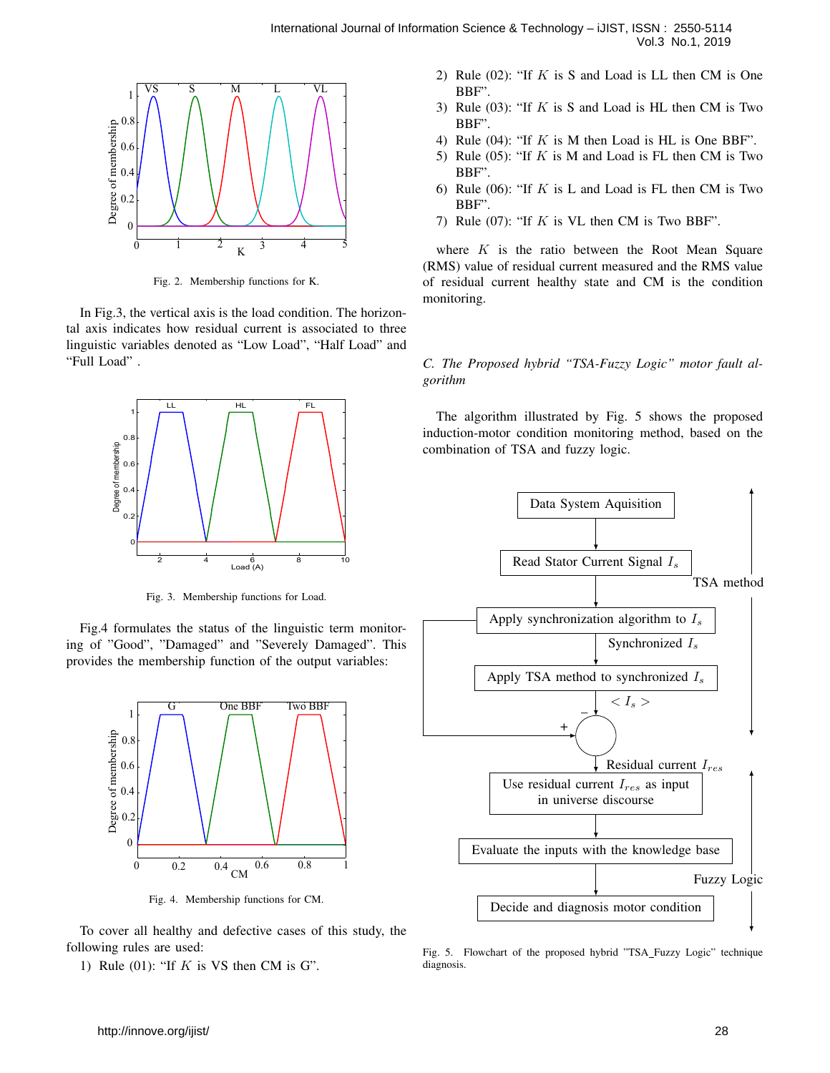

Fig. 2. Membership functions for K.

In Fig.3, the vertical axis is the load condition. The horizontal axis indicates how residual current is associated to three linguistic variables denoted as "Low Load", "Half Load" and "Full Load" .



Fig. 3. Membership functions for Load.

Fig.4 formulates the status of the linguistic term monitoring of "Good", "Damaged" and "Severely Damaged". This provides the membership function of the output variables:



Fig. 4. Membership functions for CM.

To cover all healthy and defective cases of this study, the following rules are used:

1) Rule (01): "If  $K$  is VS then CM is G".

- 2) Rule  $(02)$ : "If K is S and Load is LL then CM is One BBF".
- 3) Rule  $(03)$ : "If K is S and Load is HL then CM is Two BBF".
- 4) Rule  $(04)$ : "If K is M then Load is HL is One BBF".
- 5) Rule  $(05)$ : "If K is M and Load is FL then CM is Two BBF".
- 6) Rule  $(06)$ : "If K is L and Load is FL then CM is Two BBF".
- 7) Rule (07): "If  $K$  is VL then CM is Two BBF".

where  $K$  is the ratio between the Root Mean Square (RMS) value of residual current measured and the RMS value of residual current healthy state and CM is the condition monitoring.

# *C. The Proposed hybrid "TSA-Fuzzy Logic" motor fault algorithm*

The algorithm illustrated by Fig. 5 shows the proposed induction-motor condition monitoring method, based on the combination of TSA and fuzzy logic.



Fig. 5. Flowchart of the proposed hybrid "TSA Fuzzy Logic" technique diagnosis.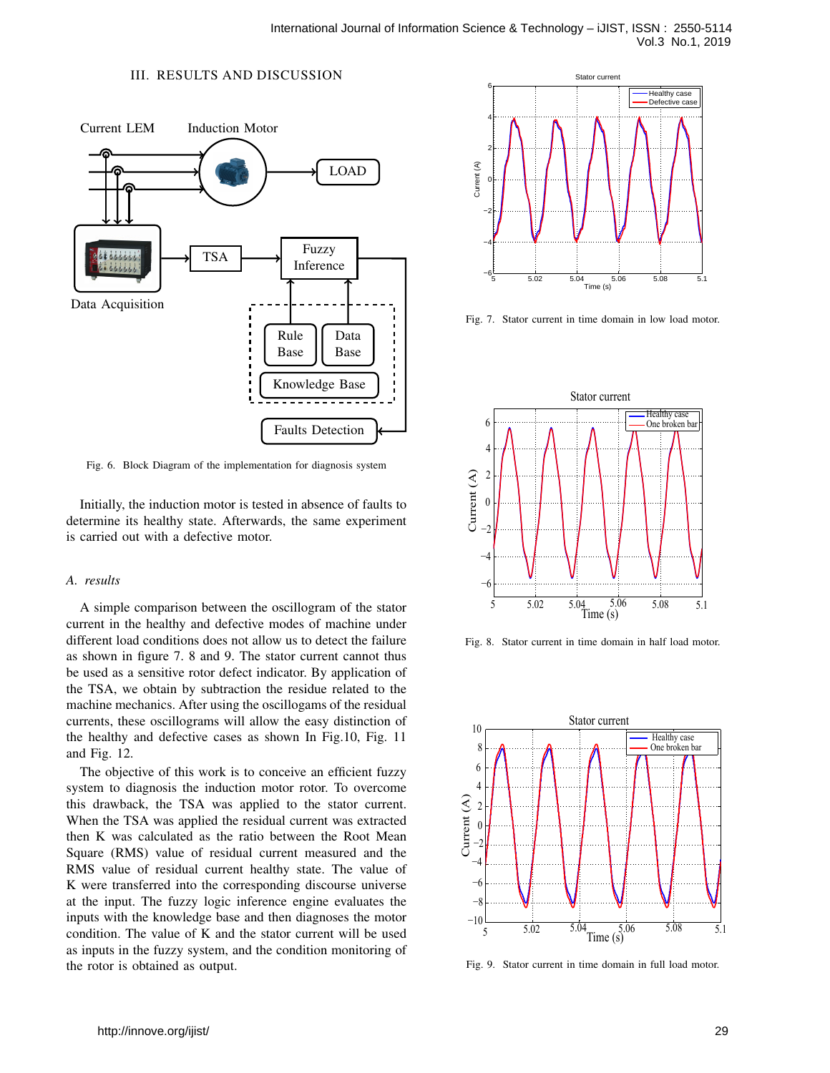# III. RESULTS AND DISCUSSION



Fig. 6. Block Diagram of the implementation for diagnosis system

Initially, the induction motor is tested in absence of faults to determine its healthy state. Afterwards, the same experiment is carried out with a defective motor.

## *A. results*

A simple comparison between the oscillogram of the stator current in the healthy and defective modes of machine under different load conditions does not allow us to detect the failure as shown in figure 7. 8 and 9. The stator current cannot thus be used as a sensitive rotor defect indicator. By application of the TSA, we obtain by subtraction the residue related to the machine mechanics. After using the oscillogams of the residual currents, these oscillograms will allow the easy distinction of the healthy and defective cases as shown In Fig.10, Fig. 11 and Fig. 12.

The objective of this work is to conceive an efficient fuzzy system to diagnosis the induction motor rotor. To overcome this drawback, the TSA was applied to the stator current. When the TSA was applied the residual current was extracted then K was calculated as the ratio between the Root Mean Square (RMS) value of residual current measured and the RMS value of residual current healthy state. The value of K were transferred into the corresponding discourse universe at the input. The fuzzy logic inference engine evaluates the inputs with the knowledge base and then diagnoses the motor condition. The value of K and the stator current will be used as inputs in the fuzzy system, and the condition monitoring of the rotor is obtained as output.



Fig. 7. Stator current in time domain in low load motor.



Fig. 8. Stator current in time domain in half load motor.



Fig. 9. Stator current in time domain in full load motor.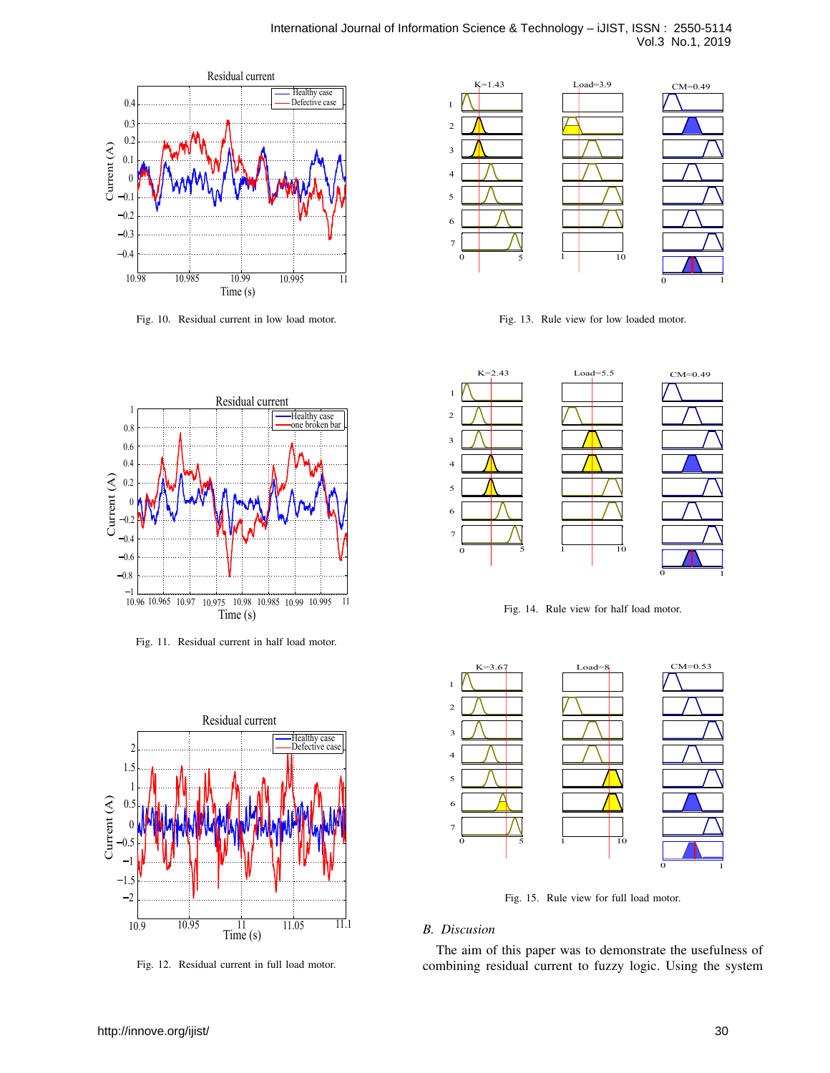

Fig. 10. Residual current in low load motor.



Fig. 13. Rule view for low loaded motor.



Fig. 11. Residual current in half load motor.



Fig. 12. Residual current in full load motor.



Fig. 14. Rule view for half load motor.



Fig. 15. Rule view for full load motor.

## *B. Discusion*

The aim of this paper was to demonstrate the usefulness of combining residual current to fuzzy logic. Using the system